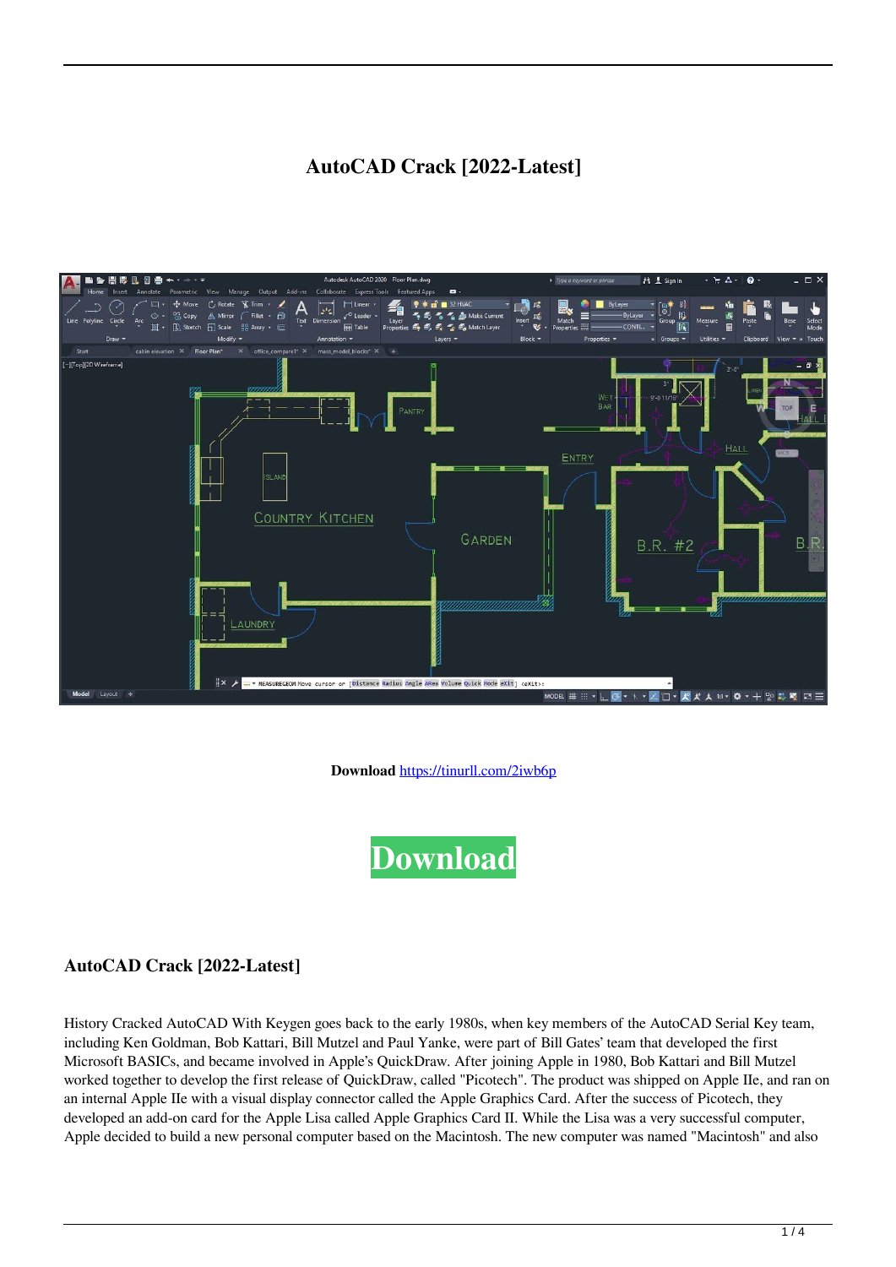# **AutoCAD Crack [2022-Latest]**



**Download** <https://tinurll.com/2iwb6p>



## **AutoCAD Crack [2022-Latest]**

History Cracked AutoCAD With Keygen goes back to the early 1980s, when key members of the AutoCAD Serial Key team, including Ken Goldman, Bob Kattari, Bill Mutzel and Paul Yanke, were part of Bill Gates' team that developed the first Microsoft BASICs, and became involved in Apple's QuickDraw. After joining Apple in 1980, Bob Kattari and Bill Mutzel worked together to develop the first release of QuickDraw, called "Picotech". The product was shipped on Apple IIe, and ran on an internal Apple IIe with a visual display connector called the Apple Graphics Card. After the success of Picotech, they developed an add-on card for the Apple Lisa called Apple Graphics Card II. While the Lisa was a very successful computer, Apple decided to build a new personal computer based on the Macintosh. The new computer was named "Macintosh" and also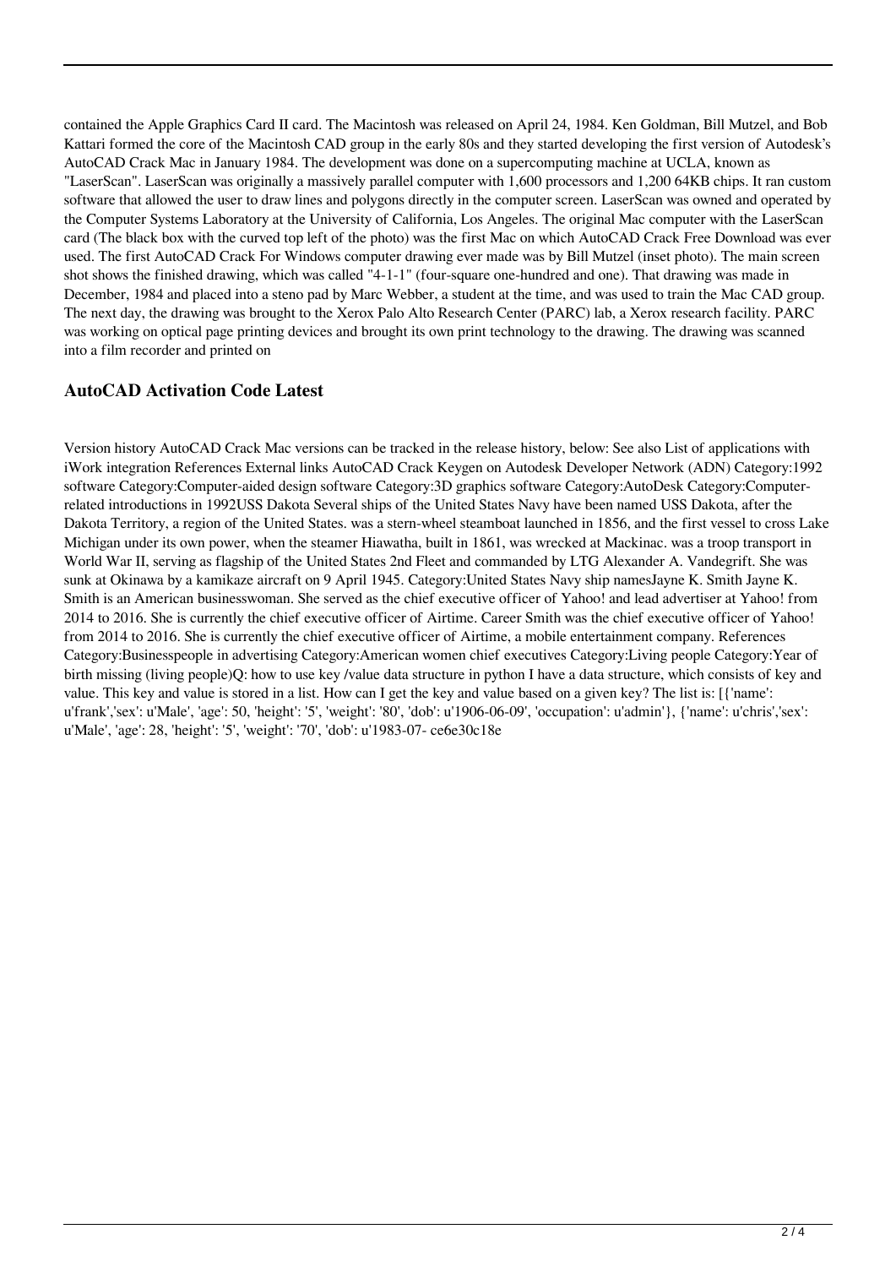contained the Apple Graphics Card II card. The Macintosh was released on April 24, 1984. Ken Goldman, Bill Mutzel, and Bob Kattari formed the core of the Macintosh CAD group in the early 80s and they started developing the first version of Autodesk's AutoCAD Crack Mac in January 1984. The development was done on a supercomputing machine at UCLA, known as "LaserScan". LaserScan was originally a massively parallel computer with 1,600 processors and 1,200 64KB chips. It ran custom software that allowed the user to draw lines and polygons directly in the computer screen. LaserScan was owned and operated by the Computer Systems Laboratory at the University of California, Los Angeles. The original Mac computer with the LaserScan card (The black box with the curved top left of the photo) was the first Mac on which AutoCAD Crack Free Download was ever used. The first AutoCAD Crack For Windows computer drawing ever made was by Bill Mutzel (inset photo). The main screen shot shows the finished drawing, which was called "4-1-1" (four-square one-hundred and one). That drawing was made in December, 1984 and placed into a steno pad by Marc Webber, a student at the time, and was used to train the Mac CAD group. The next day, the drawing was brought to the Xerox Palo Alto Research Center (PARC) lab, a Xerox research facility. PARC was working on optical page printing devices and brought its own print technology to the drawing. The drawing was scanned into a film recorder and printed on

#### **AutoCAD Activation Code Latest**

Version history AutoCAD Crack Mac versions can be tracked in the release history, below: See also List of applications with iWork integration References External links AutoCAD Crack Keygen on Autodesk Developer Network (ADN) Category:1992 software Category:Computer-aided design software Category:3D graphics software Category:AutoDesk Category:Computerrelated introductions in 1992USS Dakota Several ships of the United States Navy have been named USS Dakota, after the Dakota Territory, a region of the United States. was a stern-wheel steamboat launched in 1856, and the first vessel to cross Lake Michigan under its own power, when the steamer Hiawatha, built in 1861, was wrecked at Mackinac. was a troop transport in World War II, serving as flagship of the United States 2nd Fleet and commanded by LTG Alexander A. Vandegrift. She was sunk at Okinawa by a kamikaze aircraft on 9 April 1945. Category:United States Navy ship namesJayne K. Smith Jayne K. Smith is an American businesswoman. She served as the chief executive officer of Yahoo! and lead advertiser at Yahoo! from 2014 to 2016. She is currently the chief executive officer of Airtime. Career Smith was the chief executive officer of Yahoo! from 2014 to 2016. She is currently the chief executive officer of Airtime, a mobile entertainment company. References Category:Businesspeople in advertising Category:American women chief executives Category:Living people Category:Year of birth missing (living people)Q: how to use key /value data structure in python I have a data structure, which consists of key and value. This key and value is stored in a list. How can I get the key and value based on a given key? The list is: [{'name': u'frank','sex': u'Male', 'age': 50, 'height': '5', 'weight': '80', 'dob': u'1906-06-09', 'occupation': u'admin'}, {'name': u'chris','sex': u'Male', 'age': 28, 'height': '5', 'weight': '70', 'dob': u'1983-07- ce6e30c18e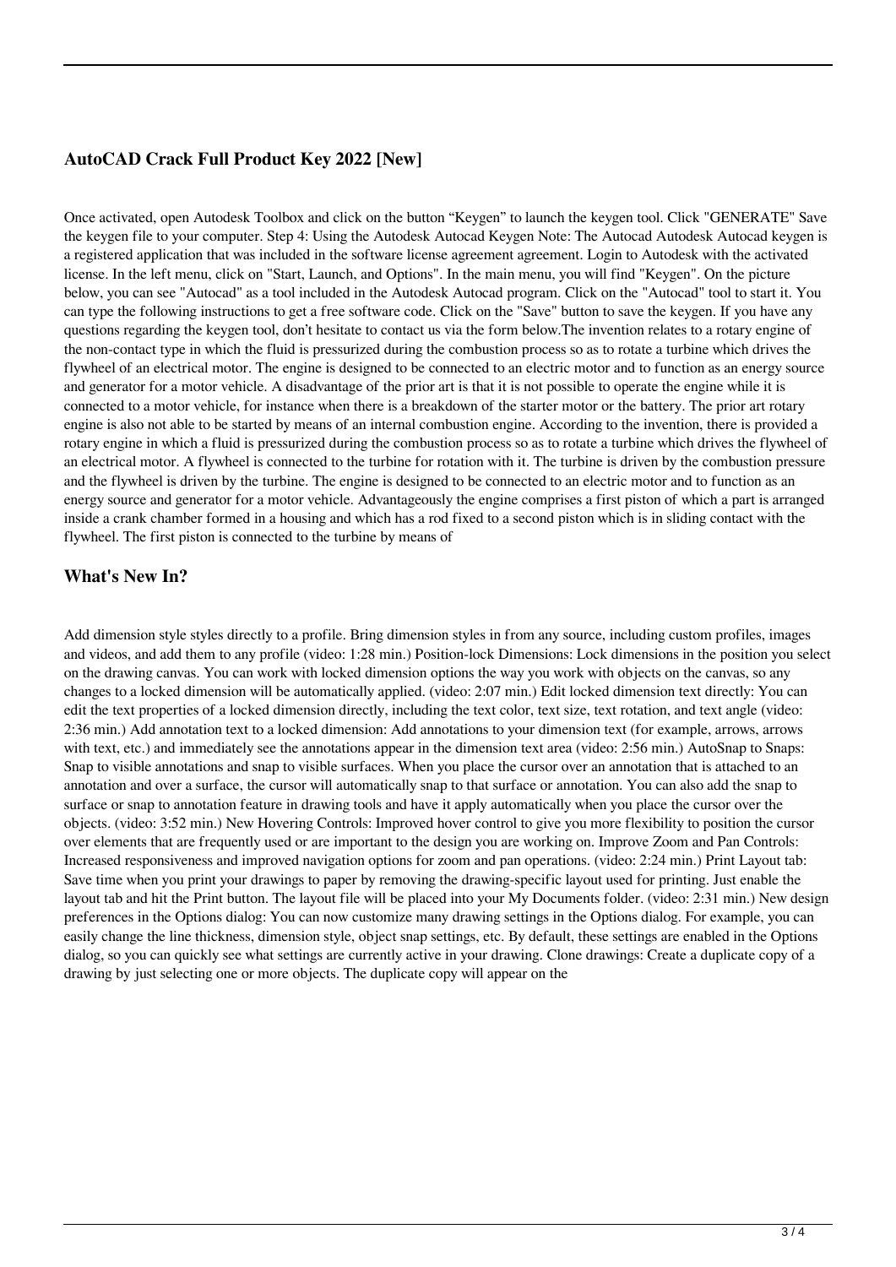### **AutoCAD Crack Full Product Key 2022 [New]**

Once activated, open Autodesk Toolbox and click on the button "Keygen" to launch the keygen tool. Click "GENERATE" Save the keygen file to your computer. Step 4: Using the Autodesk Autocad Keygen Note: The Autocad Autodesk Autocad keygen is a registered application that was included in the software license agreement agreement. Login to Autodesk with the activated license. In the left menu, click on "Start, Launch, and Options". In the main menu, you will find "Keygen". On the picture below, you can see "Autocad" as a tool included in the Autodesk Autocad program. Click on the "Autocad" tool to start it. You can type the following instructions to get a free software code. Click on the "Save" button to save the keygen. If you have any questions regarding the keygen tool, don't hesitate to contact us via the form below.The invention relates to a rotary engine of the non-contact type in which the fluid is pressurized during the combustion process so as to rotate a turbine which drives the flywheel of an electrical motor. The engine is designed to be connected to an electric motor and to function as an energy source and generator for a motor vehicle. A disadvantage of the prior art is that it is not possible to operate the engine while it is connected to a motor vehicle, for instance when there is a breakdown of the starter motor or the battery. The prior art rotary engine is also not able to be started by means of an internal combustion engine. According to the invention, there is provided a rotary engine in which a fluid is pressurized during the combustion process so as to rotate a turbine which drives the flywheel of an electrical motor. A flywheel is connected to the turbine for rotation with it. The turbine is driven by the combustion pressure and the flywheel is driven by the turbine. The engine is designed to be connected to an electric motor and to function as an energy source and generator for a motor vehicle. Advantageously the engine comprises a first piston of which a part is arranged inside a crank chamber formed in a housing and which has a rod fixed to a second piston which is in sliding contact with the flywheel. The first piston is connected to the turbine by means of

### **What's New In?**

Add dimension style styles directly to a profile. Bring dimension styles in from any source, including custom profiles, images and videos, and add them to any profile (video: 1:28 min.) Position-lock Dimensions: Lock dimensions in the position you select on the drawing canvas. You can work with locked dimension options the way you work with objects on the canvas, so any changes to a locked dimension will be automatically applied. (video: 2:07 min.) Edit locked dimension text directly: You can edit the text properties of a locked dimension directly, including the text color, text size, text rotation, and text angle (video: 2:36 min.) Add annotation text to a locked dimension: Add annotations to your dimension text (for example, arrows, arrows with text, etc.) and immediately see the annotations appear in the dimension text area (video: 2:56 min.) AutoSnap to Snaps: Snap to visible annotations and snap to visible surfaces. When you place the cursor over an annotation that is attached to an annotation and over a surface, the cursor will automatically snap to that surface or annotation. You can also add the snap to surface or snap to annotation feature in drawing tools and have it apply automatically when you place the cursor over the objects. (video: 3:52 min.) New Hovering Controls: Improved hover control to give you more flexibility to position the cursor over elements that are frequently used or are important to the design you are working on. Improve Zoom and Pan Controls: Increased responsiveness and improved navigation options for zoom and pan operations. (video: 2:24 min.) Print Layout tab: Save time when you print your drawings to paper by removing the drawing-specific layout used for printing. Just enable the layout tab and hit the Print button. The layout file will be placed into your My Documents folder. (video: 2:31 min.) New design preferences in the Options dialog: You can now customize many drawing settings in the Options dialog. For example, you can easily change the line thickness, dimension style, object snap settings, etc. By default, these settings are enabled in the Options dialog, so you can quickly see what settings are currently active in your drawing. Clone drawings: Create a duplicate copy of a drawing by just selecting one or more objects. The duplicate copy will appear on the